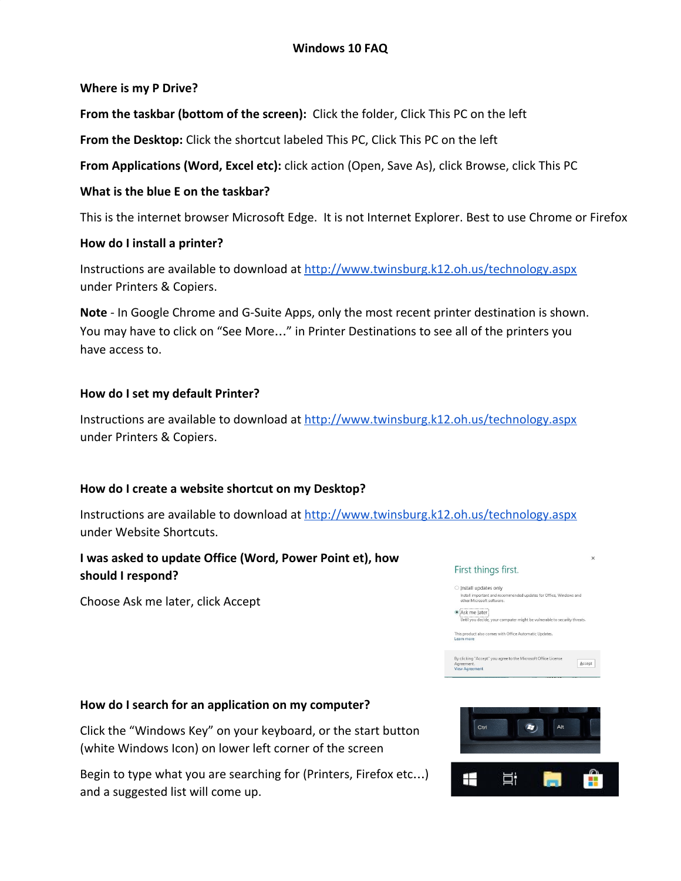**Where is my P Drive?**

**From the taskbar (bottom of the screen):** Click the folder, Click This PC on the left

**From the Desktop:** Click the shortcut labeled This PC, Click This PC on the left

**From Applications (Word, Excel etc):** click action (Open, Save As), click Browse, click This PC

#### **What is the blue E on the taskbar?**

This is the internet browser Microsoft Edge. It is not Internet Explorer. Best to use Chrome or Firefox

#### **How do I install a printer?**

Instructions are available to download at <http://www.twinsburg.k12.oh.us/technology.aspx> under Printers & Copiers.

**Note** - In Google Chrome and G-Suite Apps, only the most recent printer destination is shown. You may have to click on "See More…" in Printer Destinations to see all of the printers you have access to.

#### **How do I set my default Printer?**

Instructions are available to download at <http://www.twinsburg.k12.oh.us/technology.aspx> under Printers & Copiers.

## **How do I create a website shortcut on my Desktop?**

Instructions are available to download at <http://www.twinsburg.k12.oh.us/technology.aspx> under Website Shortcuts.

# **I was asked to update Office (Word, Power Point et), how should I respond?**

Choose Ask me later, click Accept

#### First things first.

○ Install updates only ommended updates for Office, Windows and Install important and reco<br>other Microsoft software.

 $\times$ 

· Ask me later ecide, your computer might be vulnerable to security threats

This product also comes with Office Automatic Updates



## **How do I search for an application on my computer?**

Click the "Windows Key" on your keyboard, or the start button (white Windows Icon) on lower left corner of the screen

Begin to type what you are searching for (Printers, Firefox etc…) and a suggested list will come up.